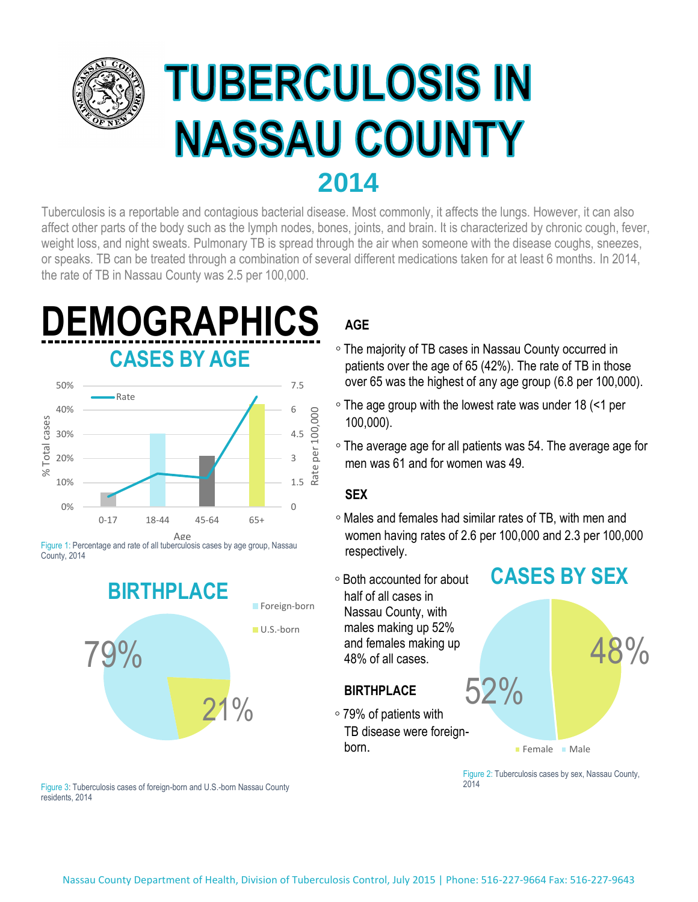

## **TUBERCULOSIS IN NASSAU COUNTY 2014**

weight loss, and night sweats. Pulmonary TB is spread through the air when someone with the disease coughs, sneezes, or speaks. TB can be treated through a combination of several different medications taken for at least 6 months. In 2014, Tuberculosis is a reportable and contagious bacterial disease. Most commonly, it affects the lungs. However, it can also affect other parts of the body such as the lymph nodes, bones, joints, and brain. It is characterized by chronic cough, fever, the rate of TB in Nassau County was 2.5 per 100,000.



Figure 1: Percentage and rate of all tuberculosis cases by age group, Nassau **France County, 2014 respectively.** County, 2014



#### Figure 3: Tuberculosis cases of foreign-born and U.S.-born Nassau County residents, 2014

#### ...**AGE**

- The majority of TB cases in Nassau County occurred in patients over the age of 65 (42%). The rate of TB in those over 65 was the highest of any age group (6.8 per 100,000).
- The age group with the lowest rate was under 18 (<1 per 100.000).
- The average age for all patients was 54. The average age for men was 61 and for women was 49.

#### ...**SEX**

- Males and females had similar rates of TB, with men and women having rates of 2.6 per 100,000 and 2.3 per 100,000
- Both accounted for about half of all cases in Nassau County, with males making up 52% and females making up ...48% of all cases.

#### ...**BIRTHPLACE**

 79% of patients with TB disease were foreignborn.

# **CASES BY SEX**



Figure 2: Tuberculosis cases by sex, Nassau County, 2014